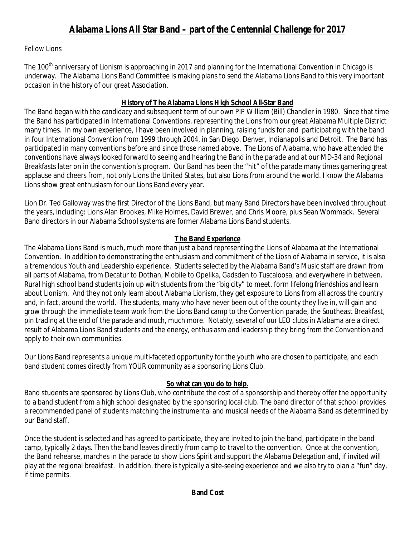# Fellow Lions

The 100<sup>th</sup> anniversary of Lionism is approaching in 2017 and planning for the International Convention in Chicago is underway. The Alabama Lions Band Committee is making plans to send the Alabama Lions Band to this very important occasion in the history of our great Association.

### **History of The Alabama Lions High School All-Star Band**

The Band began with the candidacy and subsequent term of our own PIP William (Bill) Chandler in 1980. Since that time the Band has participated in International Conventions, representing the Lions from our great Alabama Multiple District many times. In my own experience, I have been involved in planning, raising funds for and participating with the band in four International Convention from 1999 through 2004, in San Diego, Denver, Indianapolis and Detroit. The Band has participated in many conventions before and since those named above. The Lions of Alabama, who have attended the conventions have always looked forward to seeing and hearing the Band in the parade and at our MD-34 and Regional Breakfasts later on in the convention's program. Our Band has been the "hit" of the parade many times garnering great applause and cheers from, not only Lions the United States, but also Lions from around the world. I know the Alabama Lions show great enthusiasm for our Lions Band every year.

Lion Dr. Ted Galloway was the first Director of the Lions Band, but many Band Directors have been involved throughout the years, including: Lions Alan Brookes, Mike Holmes, David Brewer, and Chris Moore, plus Sean Wommack. Several Band directors in our Alabama School systems are former Alabama Lions Band students.

## **The Band Experience**

The Alabama Lions Band is much, much more than just a band representing the Lions of Alabama at the International Convention. In addition to demonstrating the enthusiasm and commitment of the Liosn of Alabama in service, it is also a tremendous Youth and Leadership experience. Students selected by the Alabama Band's Music staff are drawn from all parts of Alabama, from Decatur to Dothan, Mobile to Opelika, Gadsden to Tuscaloosa, and everywhere in between. Rural high school band students join up with students from the "big city" to meet, form lifelong friendships and learn about Lionism. And they not only learn about Alabama Lionism, they get exposure to Lions from all across the country and, in fact, around the world. The students, many who have never been out of the county they live in, will gain and grow through the immediate team work from the Lions Band camp to the Convention parade, the Southeast Breakfast, pin trading at the end of the parade and much, much more. Notably, several of our LEO clubs in Alabama are a direct result of Alabama Lions Band students and the energy, enthusiasm and leadership they bring from the Convention and apply to their own communities.

Our Lions Band represents a unique multi-faceted opportunity for the youth who are chosen to participate, and each band student comes directly from YOUR community as a sponsoring Lions Club.

# **So what can you do to help.**

Band students are sponsored by Lions Club, who contribute the cost of a sponsorship and thereby offer the opportunity to a band student from a high school designated by the sponsoring local club. The band director of that school provides a recommended panel of students matching the instrumental and musical needs of the Alabama Band as determined by our Band staff.

Once the student is selected and has agreed to participate, they are invited to join the band, participate in the band camp, typically 2 days. Then the band leaves directly from camp to travel to the convention. Once at the convention, the Band rehearse, marches in the parade to show Lions Spirit and support the Alabama Delegation and, if invited will play at the regional breakfast. In addition, there is typically a site-seeing experience and we also try to plan a "fun" day, if time permits.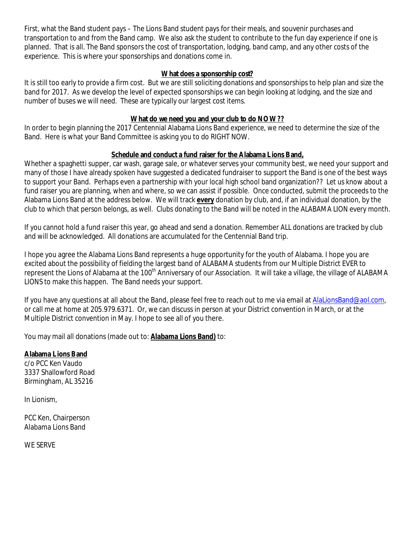First, what the Band student pays – The Lions Band student pays for their meals, and souvenir purchases and transportation to and from the Band camp. We also ask the student to contribute to the fun day experience if one is planned. That is all. The Band sponsors the cost of transportation, lodging, band camp, and any other costs of the experience. This is where your sponsorships and donations come in.

#### **What does a sponsorship cost?**

It is still too early to provide a firm cost. But we are still soliciting donations and sponsorships to help plan and size the band for 2017. As we develop the level of expected sponsorships we can begin looking at lodging, and the size and number of buses we will need. These are typically our largest cost items.

#### **What do we need you and your club to do NOW??**

In order to begin planning the 2017 Centennial Alabama Lions Band experience, we need to determine the size of the Band. Here is what your Band Committee is asking you to do RIGHT NOW.

### **Schedule and conduct a fund raiser for the Alabama Lions Band,**

Whether a spaghetti supper, car wash, garage sale, or whatever serves your community best, we need your support and many of those I have already spoken have suggested a dedicated fundraiser to support the Band is one of the best ways to support your Band. Perhaps even a partnership with your local high school band organization?? Let us know about a fund raiser you are planning, when and where, so we can assist if possible. Once conducted, submit the proceeds to the Alabama Lions Band at the address below. We will track **every** donation by club, and, if an individual donation, by the club to which that person belongs, as well. Clubs donating to the Band will be noted in the ALABAMA LION every month.

If you cannot hold a fund raiser this year, go ahead and send a donation. Remember ALL donations are tracked by club and will be acknowledged. All donations are accumulated for the Centennial Band trip.

I hope you agree the Alabama Lions Band represents a huge opportunity for the youth of Alabama. I hope you are excited about the possibility of fielding the largest band of ALABAMA students from our Multiple District EVER to represent the Lions of Alabama at the 100<sup>th</sup> Anniversary of our Association. It will take a village, the village of ALABAMA LIONS to make this happen. The Band needs your support.

If you have any questions at all about the Band, please feel free to reach out to me via email at [AlaLionsBand@aol.com](mailto:AlaLionsBand@aol.com), or call me at home at 205.979.6371. Or, we can discuss in person at your District convention in March, or at the Multiple District convention in May. I hope to see all of you there.

You may mail all donations (made out to: **Alabama Lions Band)** to:

**Alabama Lions Band**  c/o PCC Ken Vaudo 3337 Shallowford Road Birmingham, AL 35216

In Lionism,

PCC Ken, Chairperson Alabama Lions Band

WE SERVE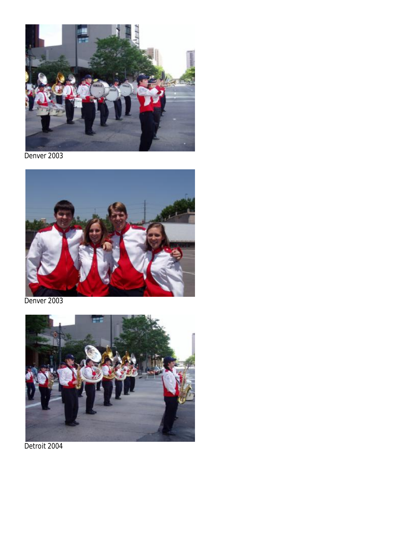

Denver 2003



Denver 2003



Detroit 2004